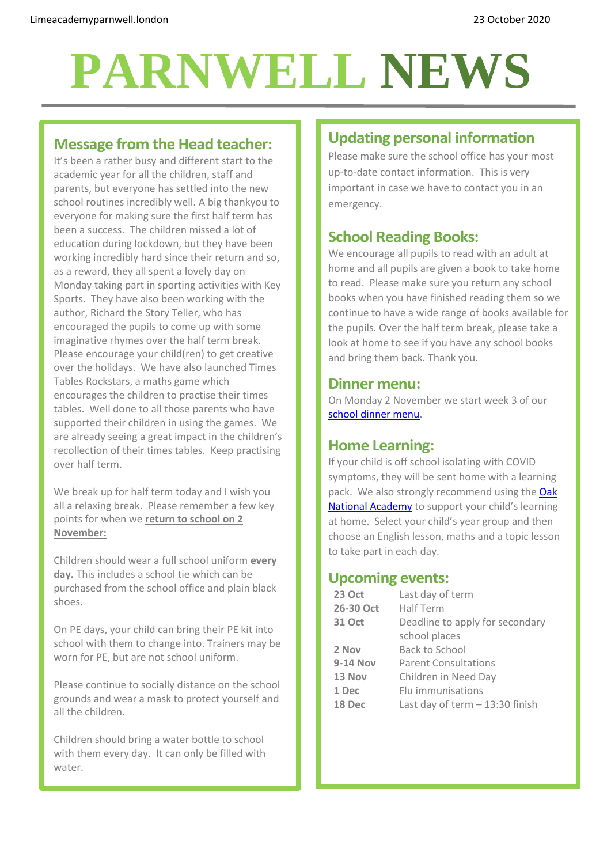# **PARNWELL NEWS**

### **Message from the Head teacher:**

It's been a rather busy and different start to the academic year for all the children, staff and parents, but everyone has settled into the new school routines incredibly well. A big thankyou to everyone for making sure the first half term has been a success. The children missed a lot of education during lockdown, but they have been working incredibly hard since their return and so, as a reward, they all spent a lovely day on Monday taking part in sporting activities with Key Sports. They have also been working with the author, Richard the Story Teller, who has encouraged the pupils to come up with some imaginative rhymes over the half term break. Please encourage your child(ren) to get creative over the holidays. We have also launched Times Tables Rockstars, a maths game which encourages the children to practise their times tables. Well done to all those parents who have supported their children in using the games. We are already seeing a great impact in the children's recollection of their times tables. Keep practising over half term.

We break up for half term today and I wish you all a relaxing break. Please remember a few key points for when we **return to school on 2 November:**

Children should wear a full school uniform **every day.** This includes a school tie which can be purchased from the school office and plain black shoes.

On PE days, your child can bring their PE kit into school with them to change into. Trainers may be worn for PE, but are not school uniform.

Please continue to socially distance on the school grounds and wear a mask to protect yourself and all the children.

Children should bring a water bottle to school with them every day. It can only be filled with water.

## **Updating personal information**

Please make sure the school office has your most up-to-date contact information. This is very important in case we have to contact you in an emergency.

## **School Reading Books:**

We encourage all pupils to read with an adult at home and all pupils are given a book to take home to read. Please make sure you return any school books when you have finished reading them so we continue to have a wide range of books available for the pupils. Over the half term break, please take a look at home to see if you have any school books and bring them back. Thank you.

#### **Dinner menu:**

On Monday 2 November we start week 3 of our [school dinner menu.](http://limeacademyparnwell.london/media/3932/dinner-menu-2020-09-18.pdf)

#### **Home Learning:**

If your child is off school isolating with COVID symptoms, they will be sent home with a learning pack. We also strongly recommend using the Oak [National Academy](https://classroom.thenational.academy/subjects-by-year) to support your child's learning at home. Select your child's year group and then choose an English lesson, maths and a topic lesson to take part in each day.

#### **Upcoming events:**

| <b>23 Oct</b>   | Last day of term                 |
|-----------------|----------------------------------|
| 26-30 Oct       | Half Term                        |
| <b>31 Oct</b>   | Deadline to apply for secondary  |
|                 | school places                    |
| 2 Nov           | Back to School                   |
| <b>9-14 Nov</b> | <b>Parent Consultations</b>      |
| 13 Nov          | Children in Need Day             |
| 1 Dec           | Flu immunisations                |
| 18 Dec          | Last day of term $-13:30$ finish |
|                 |                                  |